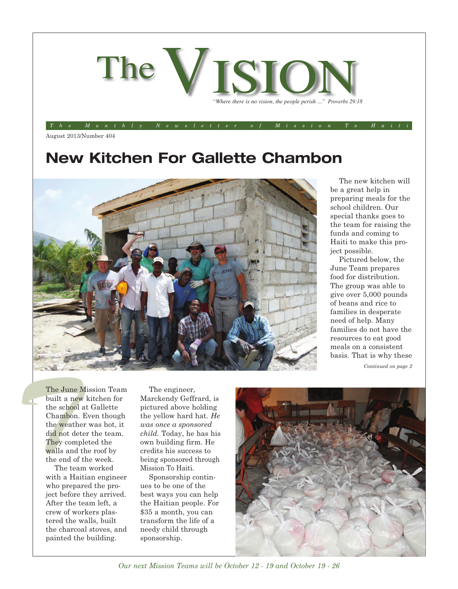

The Monthly Newsletter of Mission To Hait

August 2013/Number 404

## **New Kitchen For Gallette Chambon**



The new kitchen will be a great help in preparing meals for the school children. Our special thanks goes to the team for raising the funds and coming to Haiti to make this project possible.

Pictured below, the June Team prepares food for distribution. The group was able to give over 5,000 pounds of beans and rice to families in desperate need of help. Many families do not have the resources to eat good meals on a consistent basis. That is why these

*Continued on page 2*

The June<br>built a ne<br>the school<br>Chambon<br>the weath<br>did not de<br>They com<br>walls and<br>the end of<br>The tea The June Mission Team built a new kitchen for the school at Gallette Chambon. Even though the weather was hot, it did not deter the team. They completed the walls and the roof by the end of the week.

The team worked with a Haitian engineer who prepared the project before they arrived. After the team left, a crew of workers plastered the walls, built the charcoal stoves, and painted the building.

The engineer, Marckendy Geffrard, is pictured above holding the yellow hard hat. *He was once a sponsored child.* Today, he has his own building firm. He credits his success to being sponsored through Mission To Haiti.

Sponsorship continues to be one of the best ways you can help the Haitian people. For \$35 a month, you can transform the life of a needy child through sponsorship.



*Our next Mission Teams will be October 12 - 19 and October 19 - 26*